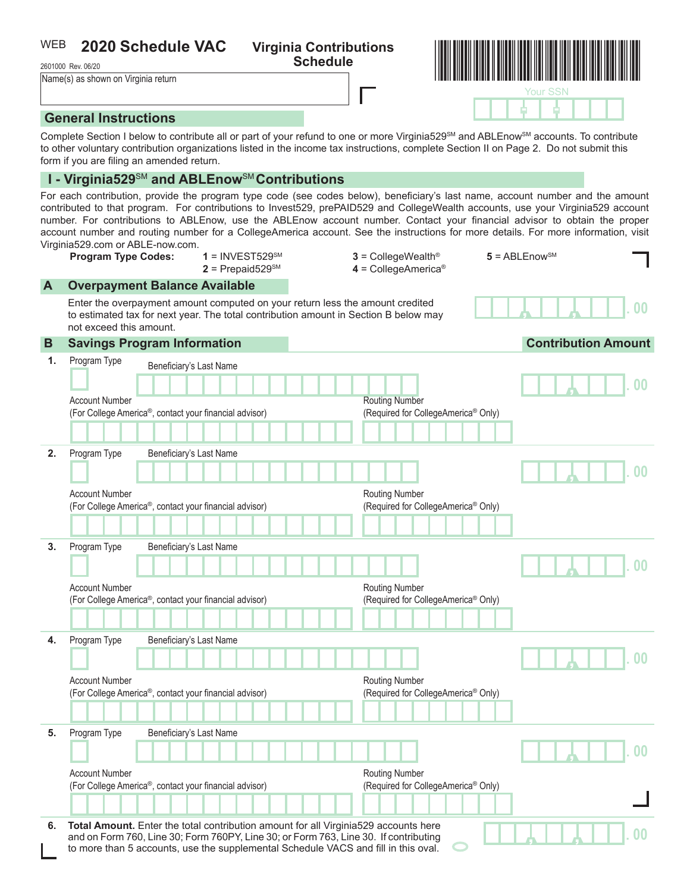#### **2020 Schedule VAC Virginia Contributions** WEB

2601000 Rev. 06/20

WEB 2020 Schedule VAC Virginia Contributions **Schedule WAC Schedule** Schedule Schedule (s) as shown on Virginia return and the United Schedule (s) as shown on Virginia return and the United Schedule District on **Schedule (** Your SSN

- -

## **General Instructions**

Complete Section I below to contribute all or part of your refund to one or more Virginia529<sup>SM</sup> and ABLEnow<sup>SM</sup> accounts. To contribute to other voluntary contribution organizations listed in the income tax instructions, complete Section II on Page 2. Do not submit this form if you are filing an amended return.

# **I - Virginia529**SM **and ABLEnow**SM **Contributions**

For each contribution, provide the program type code (see codes below), beneficiary's last name, account number and the amount contributed to that program. For contributions to Invest529, prePAID529 and CollegeWealth accounts, use your Virginia529 account number. For contributions to ABLEnow, use the ABLEnow account number. Contact your financial advisor to obtain the proper account number and routing number for a CollegeAmerica account. See the instructions for more details. For more information, visit Virginia529.com or ABLE-now.com.

- **Program Type Codes: 1** = INVEST529<sup>SM</sup> **3** = CollegeWealth<sup>®</sup> **5** = ABLEnow<sup>SM</sup><br>**2** = Prepaid529<sup>SM</sup> **4** = CollegeAmerica® **4** = CollegeAmerica<sup>®</sup>
- 

, , **. 00**

#### **Overpayment Balance Available**

Enter the overpayment amount computed on your return less the amount credited to estimated tax for next year. The total contribution amount in Section B below may not exceed this amount.

to more than 5 accounts, use the supplemental Schedule VACS and fill in this oval.

| B              | <b>Savings Program Information</b>                                                                                                                                                            |                                                                     |                                                                          | <b>Contribution Amount</b> |
|----------------|-----------------------------------------------------------------------------------------------------------------------------------------------------------------------------------------------|---------------------------------------------------------------------|--------------------------------------------------------------------------|----------------------------|
| $\mathbf{1}$ . | Program Type                                                                                                                                                                                  | Beneficiary's Last Name                                             |                                                                          | 00                         |
|                | <b>Account Number</b>                                                                                                                                                                         | (For College America <sup>®</sup> , contact your financial advisor) | <b>Routing Number</b><br>(Required for CollegeAmerica® Only)             |                            |
| 2.             | Program Type                                                                                                                                                                                  | Beneficiary's Last Name                                             |                                                                          | 00                         |
|                | <b>Account Number</b>                                                                                                                                                                         | (For College America®, contact your financial advisor)              | <b>Routing Number</b><br>(Required for CollegeAmerica® Only)             |                            |
| 3.             | Program Type                                                                                                                                                                                  | Beneficiary's Last Name                                             |                                                                          | 00                         |
|                | <b>Account Number</b>                                                                                                                                                                         | (For College America®, contact your financial advisor)              | <b>Routing Number</b><br>(Required for CollegeAmerica® Only)             |                            |
| 4.             | Program Type                                                                                                                                                                                  | Beneficiary's Last Name                                             |                                                                          | $00\,$                     |
|                | <b>Account Number</b>                                                                                                                                                                         | (For College America <sup>®</sup> , contact your financial advisor) | <b>Routing Number</b><br>(Required for CollegeAmerica <sup>®</sup> Only) |                            |
| 5.             | Program Type                                                                                                                                                                                  | Beneficiary's Last Name                                             |                                                                          | 0 <sub>0</sub>             |
|                | <b>Account Number</b>                                                                                                                                                                         | (For College America®, contact your financial advisor)              | <b>Routing Number</b><br>(Required for CollegeAmerica® Only)             |                            |
| 6.             | Total Amount. Enter the total contribution amount for all Virginia529 accounts here<br>0 <sub>0</sub><br>and on Form 760, Line 30; Form 760PY, Line 30; or Form 763, Line 30. If contributing |                                                                     |                                                                          |                            |